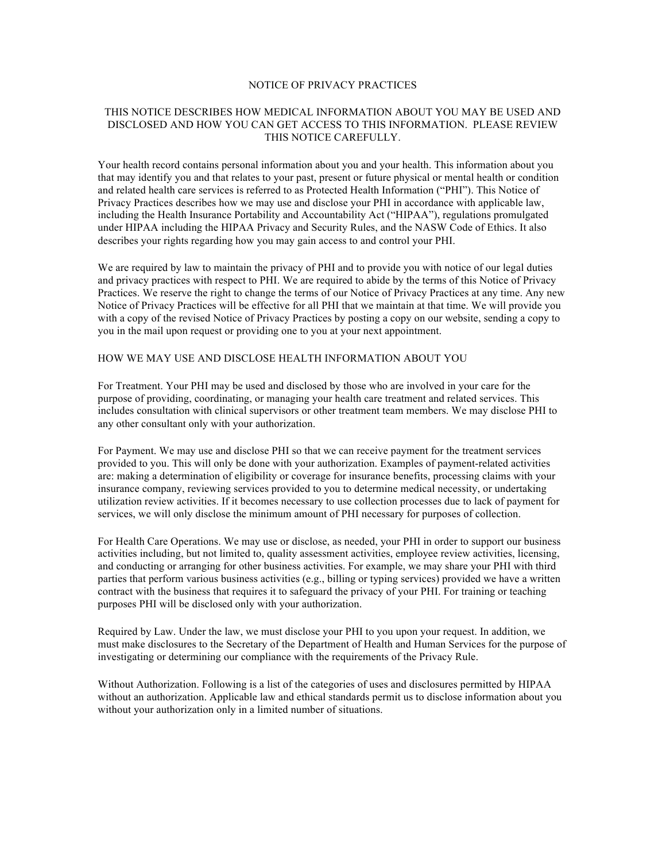## NOTICE OF PRIVACY PRACTICES

#### THIS NOTICE DESCRIBES HOW MEDICAL INFORMATION ABOUT YOU MAY BE USED AND DISCLOSED AND HOW YOU CAN GET ACCESS TO THIS INFORMATION. PLEASE REVIEW THIS NOTICE CAREFULLY.

Your health record contains personal information about you and your health. This information about you that may identify you and that relates to your past, present or future physical or mental health or condition and related health care services is referred to as Protected Health Information ("PHI"). This Notice of Privacy Practices describes how we may use and disclose your PHI in accordance with applicable law, including the Health Insurance Portability and Accountability Act ("HIPAA"), regulations promulgated under HIPAA including the HIPAA Privacy and Security Rules, and the NASW Code of Ethics. It also describes your rights regarding how you may gain access to and control your PHI.

We are required by law to maintain the privacy of PHI and to provide you with notice of our legal duties and privacy practices with respect to PHI. We are required to abide by the terms of this Notice of Privacy Practices. We reserve the right to change the terms of our Notice of Privacy Practices at any time. Any new Notice of Privacy Practices will be effective for all PHI that we maintain at that time. We will provide you with a copy of the revised Notice of Privacy Practices by posting a copy on our website, sending a copy to you in the mail upon request or providing one to you at your next appointment.

## HOW WE MAY USE AND DISCLOSE HEALTH INFORMATION ABOUT YOU

For Treatment. Your PHI may be used and disclosed by those who are involved in your care for the purpose of providing, coordinating, or managing your health care treatment and related services. This includes consultation with clinical supervisors or other treatment team members. We may disclose PHI to any other consultant only with your authorization.

For Payment. We may use and disclose PHI so that we can receive payment for the treatment services provided to you. This will only be done with your authorization. Examples of payment-related activities are: making a determination of eligibility or coverage for insurance benefits, processing claims with your insurance company, reviewing services provided to you to determine medical necessity, or undertaking utilization review activities. If it becomes necessary to use collection processes due to lack of payment for services, we will only disclose the minimum amount of PHI necessary for purposes of collection.

For Health Care Operations. We may use or disclose, as needed, your PHI in order to support our business activities including, but not limited to, quality assessment activities, employee review activities, licensing, and conducting or arranging for other business activities. For example, we may share your PHI with third parties that perform various business activities (e.g., billing or typing services) provided we have a written contract with the business that requires it to safeguard the privacy of your PHI. For training or teaching purposes PHI will be disclosed only with your authorization.

Required by Law. Under the law, we must disclose your PHI to you upon your request. In addition, we must make disclosures to the Secretary of the Department of Health and Human Services for the purpose of investigating or determining our compliance with the requirements of the Privacy Rule.

Without Authorization. Following is a list of the categories of uses and disclosures permitted by HIPAA without an authorization. Applicable law and ethical standards permit us to disclose information about you without your authorization only in a limited number of situations.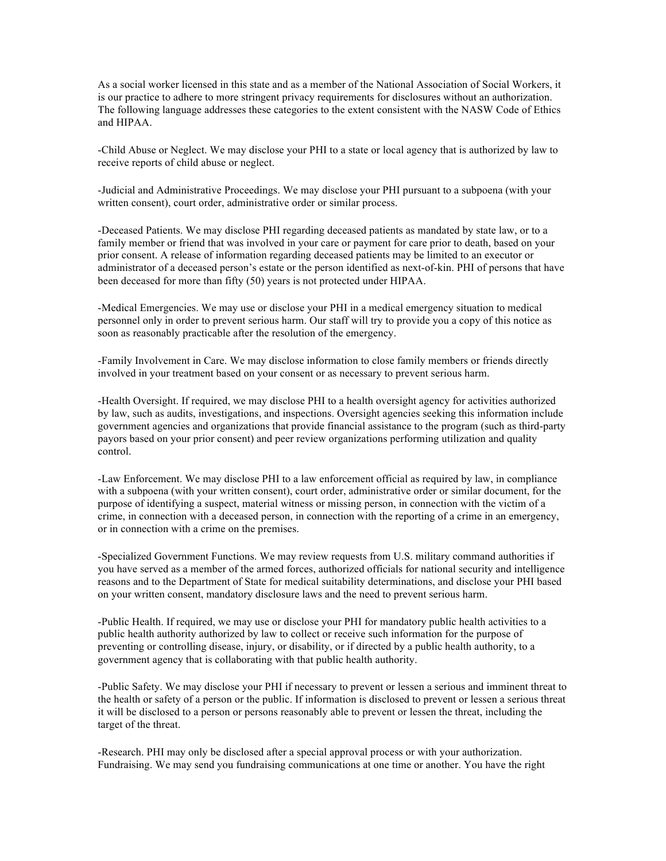As a social worker licensed in this state and as a member of the National Association of Social Workers, it is our practice to adhere to more stringent privacy requirements for disclosures without an authorization. The following language addresses these categories to the extent consistent with the NASW Code of Ethics and HIPAA.

-Child Abuse or Neglect. We may disclose your PHI to a state or local agency that is authorized by law to receive reports of child abuse or neglect.

-Judicial and Administrative Proceedings. We may disclose your PHI pursuant to a subpoena (with your written consent), court order, administrative order or similar process.

-Deceased Patients. We may disclose PHI regarding deceased patients as mandated by state law, or to a family member or friend that was involved in your care or payment for care prior to death, based on your prior consent. A release of information regarding deceased patients may be limited to an executor or administrator of a deceased person's estate or the person identified as next-of-kin. PHI of persons that have been deceased for more than fifty (50) years is not protected under HIPAA.

-Medical Emergencies. We may use or disclose your PHI in a medical emergency situation to medical personnel only in order to prevent serious harm. Our staff will try to provide you a copy of this notice as soon as reasonably practicable after the resolution of the emergency.

-Family Involvement in Care. We may disclose information to close family members or friends directly involved in your treatment based on your consent or as necessary to prevent serious harm.

-Health Oversight. If required, we may disclose PHI to a health oversight agency for activities authorized by law, such as audits, investigations, and inspections. Oversight agencies seeking this information include government agencies and organizations that provide financial assistance to the program (such as third-party payors based on your prior consent) and peer review organizations performing utilization and quality control.

-Law Enforcement. We may disclose PHI to a law enforcement official as required by law, in compliance with a subpoena (with your written consent), court order, administrative order or similar document, for the purpose of identifying a suspect, material witness or missing person, in connection with the victim of a crime, in connection with a deceased person, in connection with the reporting of a crime in an emergency, or in connection with a crime on the premises.

-Specialized Government Functions. We may review requests from U.S. military command authorities if you have served as a member of the armed forces, authorized officials for national security and intelligence reasons and to the Department of State for medical suitability determinations, and disclose your PHI based on your written consent, mandatory disclosure laws and the need to prevent serious harm.

-Public Health. If required, we may use or disclose your PHI for mandatory public health activities to a public health authority authorized by law to collect or receive such information for the purpose of preventing or controlling disease, injury, or disability, or if directed by a public health authority, to a government agency that is collaborating with that public health authority.

-Public Safety. We may disclose your PHI if necessary to prevent or lessen a serious and imminent threat to the health or safety of a person or the public. If information is disclosed to prevent or lessen a serious threat it will be disclosed to a person or persons reasonably able to prevent or lessen the threat, including the target of the threat.

-Research. PHI may only be disclosed after a special approval process or with your authorization. Fundraising. We may send you fundraising communications at one time or another. You have the right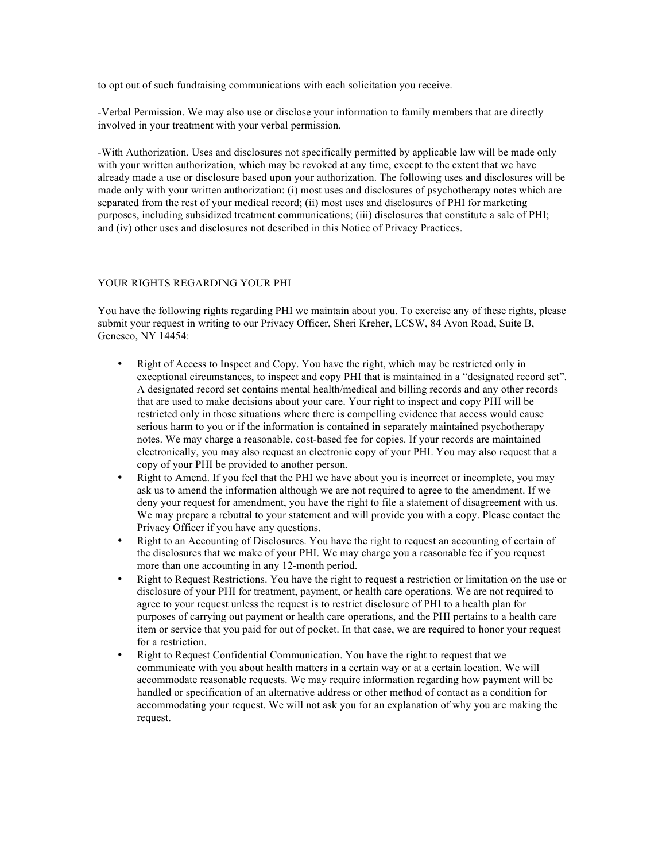to opt out of such fundraising communications with each solicitation you receive.

-Verbal Permission. We may also use or disclose your information to family members that are directly involved in your treatment with your verbal permission.

-With Authorization. Uses and disclosures not specifically permitted by applicable law will be made only with your written authorization, which may be revoked at any time, except to the extent that we have already made a use or disclosure based upon your authorization. The following uses and disclosures will be made only with your written authorization: (i) most uses and disclosures of psychotherapy notes which are separated from the rest of your medical record; (ii) most uses and disclosures of PHI for marketing purposes, including subsidized treatment communications; (iii) disclosures that constitute a sale of PHI; and (iv) other uses and disclosures not described in this Notice of Privacy Practices.

### YOUR RIGHTS REGARDING YOUR PHI

You have the following rights regarding PHI we maintain about you. To exercise any of these rights, please submit your request in writing to our Privacy Officer, Sheri Kreher, LCSW, 84 Avon Road, Suite B, Geneseo, NY 14454:

- Right of Access to Inspect and Copy. You have the right, which may be restricted only in exceptional circumstances, to inspect and copy PHI that is maintained in a "designated record set". A designated record set contains mental health/medical and billing records and any other records that are used to make decisions about your care. Your right to inspect and copy PHI will be restricted only in those situations where there is compelling evidence that access would cause serious harm to you or if the information is contained in separately maintained psychotherapy notes. We may charge a reasonable, cost-based fee for copies. If your records are maintained electronically, you may also request an electronic copy of your PHI. You may also request that a copy of your PHI be provided to another person.
- Right to Amend. If you feel that the PHI we have about you is incorrect or incomplete, you may ask us to amend the information although we are not required to agree to the amendment. If we deny your request for amendment, you have the right to file a statement of disagreement with us. We may prepare a rebuttal to your statement and will provide you with a copy. Please contact the Privacy Officer if you have any questions.
- Right to an Accounting of Disclosures. You have the right to request an accounting of certain of the disclosures that we make of your PHI. We may charge you a reasonable fee if you request more than one accounting in any 12-month period.
- Right to Request Restrictions. You have the right to request a restriction or limitation on the use or disclosure of your PHI for treatment, payment, or health care operations. We are not required to agree to your request unless the request is to restrict disclosure of PHI to a health plan for purposes of carrying out payment or health care operations, and the PHI pertains to a health care item or service that you paid for out of pocket. In that case, we are required to honor your request for a restriction.
- Right to Request Confidential Communication. You have the right to request that we communicate with you about health matters in a certain way or at a certain location. We will accommodate reasonable requests. We may require information regarding how payment will be handled or specification of an alternative address or other method of contact as a condition for accommodating your request. We will not ask you for an explanation of why you are making the request.